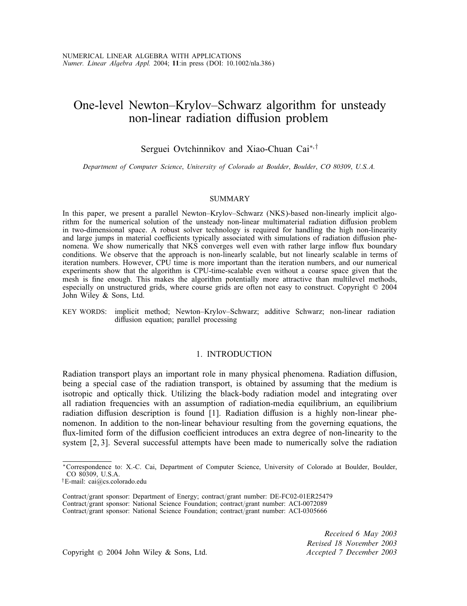# One-level Newton–Krylov–Schwarz algorithm for unsteady non-linear radiation diffusion problem

# Serguei Ovtchinnikov and Xiao-Chuan Cai<sup>∗,†</sup>

*Department of Computer Science*; *University of Colorado at Boulder*; *Boulder*; *CO 80309*; *U.S.A.*

#### SUMMARY

In this paper, we present a parallel Newton–Krylov–Schwarz (NKS)-based non-linearly implicit algorithm for the numerical solution of the unsteady non-linear multimaterial radiation diffusion problem in two-dimensional space. A robust solver technology is required for handling the high non-linearity and large jumps in material coefficients typically associated with simulations of radiation diffusion phenomena. We show numerically that NKS converges well even with rather large inflow flux boundary conditions. We observe that the approach is non-linearly scalable, but not linearly scalable in terms of iteration numbers. However, CPU time is more important than the iteration numbers, and our numerical experiments show that the algorithm is CPU-time-scalable even without a coarse space given that the mesh is fine enough. This makes the algorithm potentially more attractive than multilevel methods, especially on unstructured grids, where course grids are often not easy to construct. Copyright  $\odot$  2004 John Wiley & Sons, Ltd.

KEY WORDS: implicit method; Newton–Krylov–Schwarz; additive Schwarz; non-linear radiation diffusion equation; parallel processing

## 1. INTRODUCTION

Radiation transport plays an important role in many physical phenomena. Radiation diffusion, being a special case of the radiation transport, is obtained by assuming that the medium is isotropic and optically thick. Utilizing the black-body radiation model and integrating over all radiation frequencies with an assumption of radiation-media equilibrium, an equilibrium radiation diffusion description is found  $[1]$ . Radiation diffusion is a highly non-linear phenomenon. In addition to the non-linear behaviour resulting from the governing equations, the flux-limited form of the diffusion coefficient introduces an extra degree of non-linearity to the system [2, 3]. Several successful attempts have been made to numerically solve the radiation

*Received 6 May 2003 Revised 18 November 2003*

Copyright ? 2004 John Wiley & Sons, Ltd. *Accepted 7 December 2003*

<sup>∗</sup>Correspondence to: X.-C. Cai, Department of Computer Science, University of Colorado at Boulder, Boulder, CO 80309, U.S.A.

<sup>†</sup>E-mail: cai@cs.colorado.edu

Contract/grant sponsor: Department of Energy; contract/grant number: DE-FC02-01ER25479 Contract/grant sponsor: National Science Foundation; contract/grant number: ACI-0072089 Contract/grant sponsor: National Science Foundation; contract/grant number: ACI-0305666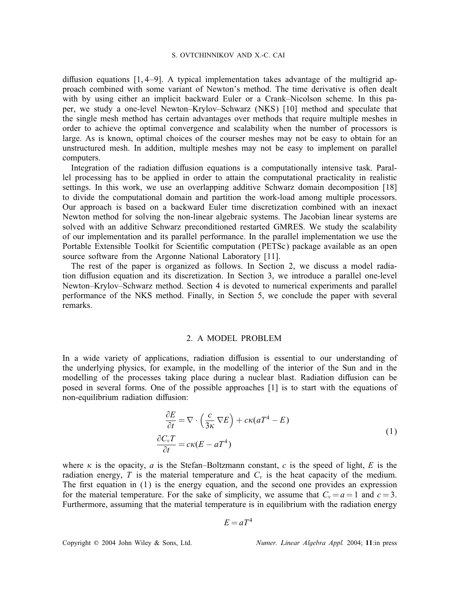diffusion equations  $[1, 4-9]$ . A typical implementation takes advantage of the multigrid approach combined with some variant of Newton's method. The time derivative is often dealt with by using either an implicit backward Euler or a Crank–Nicolson scheme. In this paper, we study a one-level Newton–Krylov–Schwarz (NKS) [10] method and speculate that the single mesh method has certain advantages over methods that require multiple meshes in order to achieve the optimal convergence and scalability when the number of processors is large. As is known, optimal choices of the courser meshes may not be easy to obtain for an unstructured mesh. In addition, multiple meshes may not be easy to implement on parallel computers.

Integration of the radiation diffusion equations is a computationally intensive task. Parallel processing has to be applied in order to attain the computational practicality in realistic settings. In this work, we use an overlapping additive Schwarz domain decomposition [18] to divide the computational domain and partition the work-load among multiple processors. Our approach is based on a backward Euler time discretization combined with an inexact Newton method for solving the non-linear algebraic systems. The Jacobian linear systems are solved with an additive Schwarz preconditioned restarted GMRES. We study the scalability of our implementation and its parallel performance. In the parallel implementation we use the Portable Extensible Toolkit for Scientific computation (PETSc) package available as an open source software from the Argonne National Laboratory [11].

The rest of the paper is organized as follows. In Section 2, we discuss a model radiation diffusion equation and its discretization. In Section 3, we introduce a parallel one-level Newton–Krylov–Schwarz method. Section 4 is devoted to numerical experiments and parallel performance of the NKS method. Finally, in Section 5, we conclude the paper with several remarks.

#### 2. A MODEL PROBLEM

In a wide variety of applications, radiation diffusion is essential to our understanding of the underlying physics, for example, in the modelling of the interior of the Sun and in the modelling of the processes taking place during a nuclear blast. Radiation diffusion can be posed in several forms. One of the possible approaches [1] is to start with the equations of non-equilibrium radiation diffusion:

$$
\frac{\partial E}{\partial t} = \nabla \cdot \left(\frac{c}{3\kappa} \nabla E\right) + c\kappa (aT^4 - E)
$$
  

$$
\frac{\partial C_v T}{\partial t} = c\kappa (E - aT^4)
$$
 (1)

where  $\kappa$  is the opacity, a is the Stefan–Boltzmann constant, c is the speed of light, E is the radiation energy, T is the material temperature and  $C_v$  is the heat capacity of the medium. The first equation in  $(1)$  is the energy equation, and the second one provides an expression for the material temperature. For the sake of simplicity, we assume that  $C_v = a = 1$  and  $c = 3$ . Furthermore, assuming that the material temperature is in equilibrium with the radiation energy

$$
E = aT^4
$$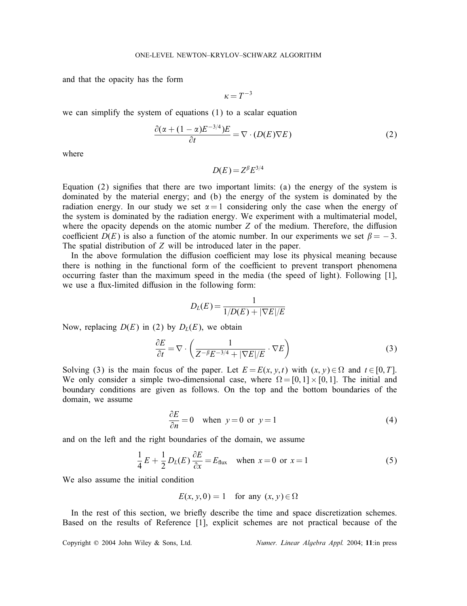and that the opacity has the form

$$
\kappa = T^{-3}
$$

we can simplify the system of equations (1) to a scalar equation

$$
\frac{\partial(\alpha + (1 - \alpha)E^{-3/4})E}{\partial t} = \nabla \cdot (D(E)\nabla E)
$$
 (2)

where

$$
D(E) = Z^{\beta} E^{3/4}
$$

Equation  $(2)$  signifies that there are two important limits:  $(a)$  the energy of the system is dominated by the material energy; and (b) the energy of the system is dominated by the radiation energy. In our study we set  $\alpha = 1$  considering only the case when the energy of the system is dominated by the radiation energy. We experiment with a multimaterial model, where the opacity depends on the atomic number  $Z$  of the medium. Therefore, the diffusion coefficient  $D(E)$  is also a function of the atomic number. In our experiments we set  $\beta = -3$ . The spatial distribution of Z will be introduced later in the paper.

In the above formulation the diffusion coefficient may lose its physical meaning because there is nothing in the functional form of the coefficient to prevent transport phenomena occurring faster than the maximum speed in the media (the speed of light). Following [1], we use a flux-limited diffusion in the following form:

$$
D_L(E) = \frac{1}{1/D(E) + |\nabla E|/E}
$$

Now, replacing  $D(E)$  in (2) by  $D<sub>L</sub>(E)$ , we obtain

$$
\frac{\partial E}{\partial t} = \nabla \cdot \left( \frac{1}{Z^{-\beta} E^{-3/4} + |\nabla E| / E} \cdot \nabla E \right)
$$
(3)

Solving (3) is the main focus of the paper. Let  $E = E(x, y, t)$  with  $(x, y) \in \Omega$  and  $t \in [0, T]$ . We only consider a simple two-dimensional case, where  $\Omega = [0, 1] \times [0, 1]$ . The initial and boundary conditions are given as follows. On the top and the bottom boundaries of the domain, we assume

$$
\frac{\partial E}{\partial n} = 0 \quad \text{when } y = 0 \text{ or } y = 1 \tag{4}
$$

and on the left and the right boundaries of the domain, we assume

$$
\frac{1}{4}E + \frac{1}{2}D_L(E)\frac{\partial E}{\partial x} = E_{\text{flux}} \quad \text{when } x = 0 \text{ or } x = 1 \tag{5}
$$

We also assume the initial condition

$$
E(x, y, 0) = 1 \quad \text{for any } (x, y) \in \Omega
$$

In the rest of this section, we briefly describe the time and space discretization schemes. Based on the results of Reference [1], explicit schemes are not practical because of the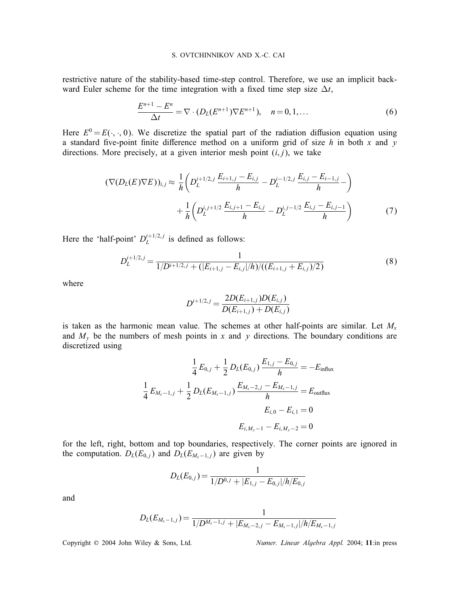restrictive nature of the stability-based time-step control. Therefore, we use an implicit backward Euler scheme for the time integration with a fixed time step size  $\Delta t$ ,

$$
\frac{E^{n+1} - E^n}{\Delta t} = \nabla \cdot (D_L(E^{n+1}) \nabla E^{n+1}), \quad n = 0, 1, \dots
$$
 (6)

Here  $E^0 = E(\cdot, \cdot, 0)$ . We discretize the spatial part of the radiation diffusion equation using a standard five-point finite difference method on a uniform grid of size h in both x and y directions. More precisely, at a given interior mesh point  $(i, j)$ , we take

$$
(\nabla(D_L(E)\nabla E))_{i,j} \approx \frac{1}{h} \left( D_L^{i+1/2,j} \frac{E_{i+1,j} - E_{i,j}}{h} - D_L^{i-1/2,j} \frac{E_{i,j} - E_{i-1,j}}{h} - \right) + \frac{1}{h} \left( D_L^{i,j+1/2} \frac{E_{i,j+1} - E_{i,j}}{h} - D_L^{i,j-1/2} \frac{E_{i,j} - E_{i,j-1}}{h} \right)
$$
(7)

Here the 'half-point'  $D_L^{i+1/2,j}$  is defined as follows:

$$
D_L^{i+1/2,j} = \frac{1}{1/D^{i+1/2,j} + (|E_{i+1,j} - E_{i,j}|/h)/((E_{i+1,j} + E_{i,j})/2)}
$$
(8)

where

$$
D^{i+1/2,j} = \frac{2D(E_{i+1,j})D(E_{i,j})}{D(E_{i+1,j}) + D(E_{i,j})}
$$

is taken as the harmonic mean value. The schemes at other half-points are similar. Let  $M_{x}$ and  $M_y$  be the numbers of mesh points in x and y directions. The boundary conditions are discretized using

$$
\frac{1}{4}E_{0,j} + \frac{1}{2}D_L(E_{0,j})\frac{E_{1,j} - E_{0,j}}{h} = -E_{\text{influx}}
$$

$$
\frac{1}{4}E_{M_x-1,j} + \frac{1}{2}D_L(E_{M_x-1,j})\frac{E_{M_x-2,j} - E_{M_x-1,j}}{h} = E_{\text{outflux}}
$$

$$
E_{i,0} - E_{i,1} = 0
$$

$$
E_{i,M_y-1} - E_{i,M_y-2} = 0
$$

for the left, right, bottom and top boundaries, respectively. The corner points are ignored in the computation.  $D_L(E_{0,i})$  and  $D_L(E_{M_x-1,i})$  are given by

$$
D_L(E_{0,j}) = \frac{1}{1/D^{0,j} + |E_{1,j} - E_{0,j}|/h/E_{0,j}}
$$

and

$$
D_L(E_{M_x-1,j}) = \frac{1}{1/D^{M_x-1,j} + |E_{M_x-2,j} - E_{M_x-1,j}|/h/E_{M_x-1,j}}
$$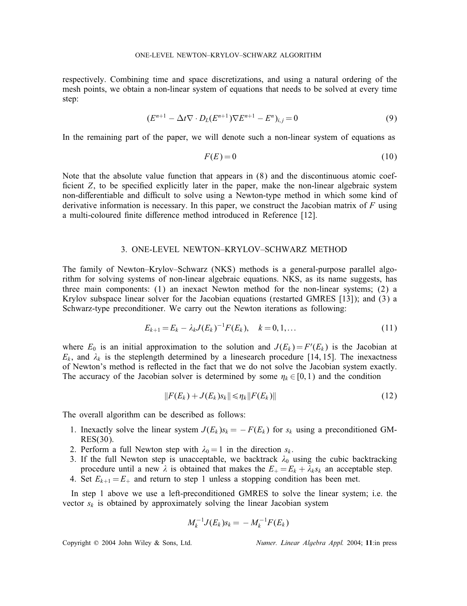respectively. Combining time and space discretizations, and using a natural ordering of the mesh points, we obtain a non-linear system of equations that needs to be solved at every time step:

$$
(E^{n+1} - \Delta t \nabla \cdot D_L (E^{n+1}) \nabla E^{n+1} - E^n)_{i,j} = 0 \tag{9}
$$

In the remaining part of the paper, we will denote such a non-linear system of equations as

$$
F(E) = 0 \tag{10}
$$

Note that the absolute value function that appears in (8) and the discontinuous atomic coef ficient  $Z$ , to be specified explicitly later in the paper, make the non-linear algebraic system non-differentiable and difficult to solve using a Newton-type method in which some kind of derivative information is necessary. In this paper, we construct the Jacobian matrix of  $F$  using a multi-coloured finite difference method introduced in Reference [12].

## 3. ONE-LEVEL NEWTON–KRYLOV–SCHWARZ METHOD

The family of Newton–Krylov–Schwarz (NKS) methods is a general-purpose parallel algorithm for solving systems of non-linear algebraic equations. NKS, as its name suggests, has three main components: (1) an inexact Newton method for the non-linear systems; (2) a Krylov subspace linear solver for the Jacobian equations (restarted GMRES [13]); and (3) a Schwarz-type preconditioner. We carry out the Newton iterations as following:

$$
E_{k+1} = E_k - \lambda_k J(E_k)^{-1} F(E_k), \quad k = 0, 1, \dots
$$
\n(11)

where  $E_0$  is an initial approximation to the solution and  $J(E_k) = F'(E_k)$  is the Jacobian at  $E_k$ , and  $\lambda_k$  is the steplength determined by a linesearch procedure [14, 15]. The inexactness of Newton's method is reflected in the fact that we do not solve the Jacobian system exactly. The accuracy of the Jacobian solver is determined by some  $\eta_k \in [0, 1)$  and the condition

$$
||F(E_k) + J(E_k) s_k|| \leq \eta_k ||F(E_k)|| \tag{12}
$$

The overall algorithm can be described as follows:

- 1. Inexactly solve the linear system  $J(E_k)s_k = -F(E_k)$  for  $s_k$  using a preconditioned GM-RES(30).
- 2. Perform a full Newton step with  $\lambda_0 = 1$  in the direction  $s_k$ .
- 3. If the full Newton step is unacceptable, we backtrack  $\lambda_0$  using the cubic backtracking procedure until a new  $\lambda$  is obtained that makes the  $E_{+} = E_{k} + \lambda_{k} s_{k}$  an acceptable step.
- 4. Set  $E_{k+1} = E_+$  and return to step 1 unless a stopping condition has been met.

In step 1 above we use a left-preconditioned GMRES to solve the linear system; i.e. the vector  $s_k$  is obtained by approximately solving the linear Jacobian system

$$
M_k^{-1}J(E_k)s_k = -M_k^{-1}F(E_k)
$$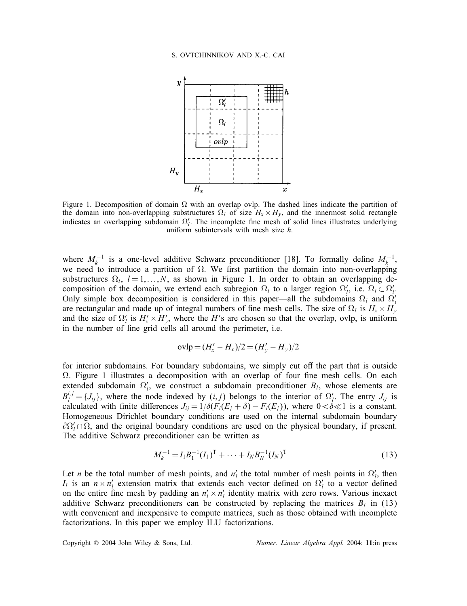#### S. OVTCHINNIKOV AND X.-C. CAI



Figure 1. Decomposition of domain  $\Omega$  with an overlap ovlp. The dashed lines indicate the partition of the domain into non-overlapping substructures  $\Omega_l$  of size  $H_x \times H_y$ , and the innermost solid rectangle indicates an overlapping subdomain  $\Omega'_l$ . The incomplete fine mesh of solid lines illustrates underlying uniform subintervals with mesh size  $h$ .

where  $M_k^{-1}$  is a one-level additive Schwarz preconditioner [18]. To formally define  $M_k^{-1}$ , we need to introduce a partition of  $\Omega$ . We first partition the domain into non-overlapping substructures  $\Omega_l$ ,  $l = 1,...,N$ , as shown in Figure 1. In order to obtain an overlapping decomposition of the domain, we extend each subregion  $\Omega_l$  to a larger region  $\Omega_l$ , i.e.  $\Omega_l \subset \Omega_l'$ . Only simple box decomposition is considered in this paper—all the subdomains  $\Omega_l$  and  $\Omega_l'$ are rectangular and made up of integral numbers of fine mesh cells. The size of  $\Omega_l$  is  $H_x \times H_y$ and the size of  $\Omega'_l$  is  $H'_x \times H'_y$ , where the H's are chosen so that the overlap, ovlp, is uniform in the number of fine grid cells all around the perimeter, i.e.

$$
ovlp = (H'_x - H_x)/2 = (H'_y - H_y)/2
$$

for interior subdomains. For boundary subdomains, we simply cut off the part that is outside  $\Omega$ . Figure 1 illustrates a decomposition with an overlap of four fine mesh cells. On each extended subdomain  $\Omega'_l$ , we construct a subdomain preconditioner  $B_l$ , whose elements are  $B_l^{i,j} = \{J_{ij}\}\$ , where the node indexed by  $(i, j)$  belongs to the interior of  $\Omega'_l$ . The entry  $J_{ij}$  is calculated with finite differences  $J_{ij} = 1/\delta(F_i(E_i + \delta) - F_i(E_i))$ , where  $0 < \delta \ll 1$  is a constant. Homogeneous Dirichlet boundary conditions are used on the internal subdomain boundary  $\partial \Omega'_l \cap \Omega$ , and the original boundary conditions are used on the physical boundary, if present. The additive Schwarz preconditioner can be written as

$$
M_k^{-1} = I_1 B_1^{-1} (I_1)^{\mathrm{T}} + \dots + I_N B_N^{-1} (I_N)^{\mathrm{T}} \tag{13}
$$

Let *n* be the total number of mesh points, and  $n'_l$  the total number of mesh points in  $\Omega'_l$ , then  $I_l$  is an  $n \times n'_l$  extension matrix that extends each vector defined on  $\Omega'_l$  to a vector defined on the entire fine mesh by padding an  $n'_1 \times n'_1$  identity matrix with zero rows. Various inexact additive Schwarz preconditioners can be constructed by replacing the matrices  $B_l$  in (13) with convenient and inexpensive to compute matrices, such as those obtained with incomplete factorizations. In this paper we employ ILU factorizations.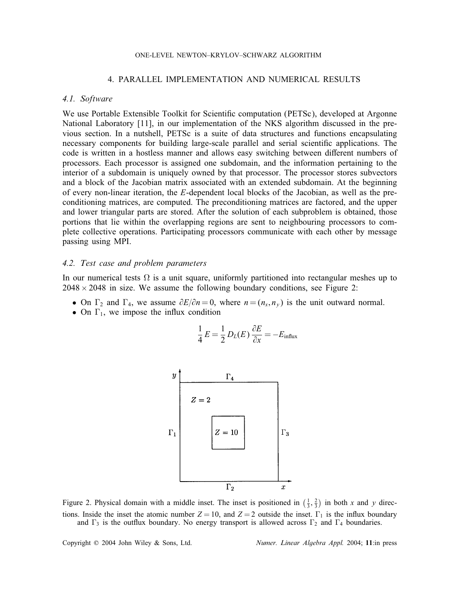#### ONE-LEVEL NEWTON–KRYLOV–SCHWARZ ALGORITHM

## 4. PARALLEL IMPLEMENTATION AND NUMERICAL RESULTS

#### *4.1. Software*

We use Portable Extensible Toolkit for Scientific computation (PETSc), developed at Argonne National Laboratory [11], in our implementation of the NKS algorithm discussed in the previous section. In a nutshell, PETSc is a suite of data structures and functions encapsulating necessary components for building large-scale parallel and serial scientific applications. The code is written in a hostless manner and allows easy switching between different numbers of processors. Each processor is assigned one subdomain, and the information pertaining to the interior of a subdomain is uniquely owned by that processor. The processor stores subvectors and a block of the Jacobian matrix associated with an extended subdomain. At the beginning of every non-linear iteration, the E-dependent local blocks of the Jacobian, as well as the preconditioning matrices, are computed. The preconditioning matrices are factored, and the upper and lower triangular parts are stored. After the solution of each subproblem is obtained, those portions that lie within the overlapping regions are sent to neighbouring processors to complete collective operations. Participating processors communicate with each other by message passing using MPI.

### *4.2. Test case and problem parameters*

In our numerical tests  $\Omega$  is a unit square, uniformly partitioned into rectangular meshes up to  $2048 \times 2048$  in size. We assume the following boundary conditions, see Figure 2:

- On  $\Gamma_2$  and  $\Gamma_4$ , we assume  $\partial E/\partial n = 0$ , where  $n = (n_x, n_y)$  is the unit outward normal.
- On  $\Gamma_1$ , we impose the influx condition

$$
\frac{1}{4}E = \frac{1}{2}D_L(E)\frac{\partial E}{\partial x} = -E_{\text{influx}}
$$



Figure 2. Physical domain with a middle inset. The inset is positioned in  $(\frac{1}{3}, \frac{2}{3})$  in both x and y directions. Inside the inset the atomic number  $Z = 10$ , and  $Z = 2$  outside the inset.  $\Gamma_1$  is the influx boundary and  $\Gamma_3$  is the outflux boundary. No energy transport is allowed across  $\Gamma_2$  and  $\Gamma_4$  boundaries.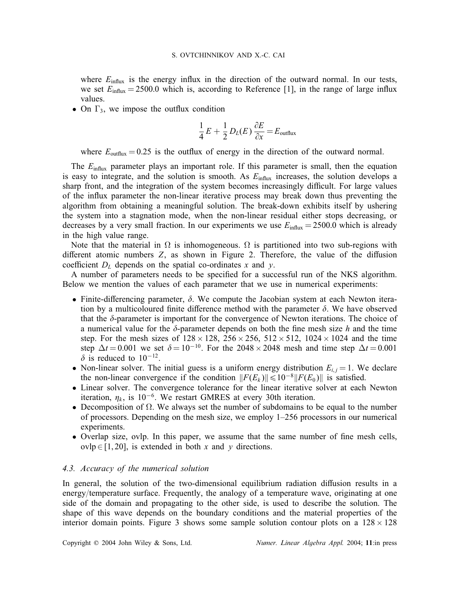where  $E_{\text{influx}}$  is the energy influx in the direction of the outward normal. In our tests, we set  $E_{\text{influx}} = 2500.0$  which is, according to Reference [1], in the range of large influx values.

• On  $\Gamma_3$ , we impose the outflux condition

$$
\frac{1}{4}E + \frac{1}{2}D_L(E)\frac{\partial E}{\partial x} = E_{\text{outflux}}
$$

where  $E_{\text{outflux}} = 0.25$  is the outflux of energy in the direction of the outward normal.

The  $E_{\text{influx}}$  parameter plays an important role. If this parameter is small, then the equation is easy to integrate, and the solution is smooth. As  $E_{\text{influx}}$  increases, the solution develops a sharp front, and the integration of the system becomes increasingly difficult. For large values of the influx parameter the non-linear iterative process may break down thus preventing the algorithm from obtaining a meaningful solution. The break-down exhibits itself by ushering the system into a stagnation mode, when the non-linear residual either stops decreasing, or decreases by a very small fraction. In our experiments we use  $E_{\text{influx}} = 2500.0$  which is already in the high value range.

Note that the material in  $\Omega$  is inhomogeneous.  $\Omega$  is partitioned into two sub-regions with different atomic numbers  $Z$ , as shown in Figure 2. Therefore, the value of the diffusion coefficient  $D<sub>L</sub>$  depends on the spatial co-ordinates x and y.

A number of parameters needs to be specified for a successful run of the NKS algorithm. Below we mention the values of each parameter that we use in numerical experiments:

- Finite-differencing parameter,  $\delta$ . We compute the Jacobian system at each Newton iteration by a multicoloured finite difference method with the parameter  $\delta$ . We have observed that the  $\delta$ -parameter is important for the convergence of Newton iterations. The choice of a numerical value for the  $\delta$ -parameter depends on both the fine mesh size h and the time step. For the mesh sizes of  $128 \times 128$ ,  $256 \times 256$ ,  $512 \times 512$ ,  $1024 \times 1024$  and the time step  $\Delta t = 0.001$  we set  $\delta = 10^{-10}$ . For the 2048 × 2048 mesh and time step  $\Delta t = 0.001$  $\delta$  is reduced to 10<sup>-12</sup>.
- Non-linear solver. The initial guess is a uniform energy distribution  $E_{i,j} = 1$ . We declare the non-linear convergence if the condition  $||F(E_k)|| \le 10^{-8}||F(E_0)||$  is satisfied.
- Linear solver. The convergence tolerance for the linear iterative solver at each Newton iteration,  $\eta_k$ , is 10<sup>-6</sup>. We restart GMRES at every 30th iteration.
- Decomposition of  $\Omega$ . We always set the number of subdomains to be equal to the number of processors. Depending on the mesh size, we employ 1–256 processors in our numerical experiments.
- Overlap size, ovlp. In this paper, we assume that the same number of fine mesh cells, ovlp∈[1,20], is extended in both x and y directions.

## *4.3. Accuracy of the numerical solution*

In general, the solution of the two-dimensional equilibrium radiation diffusion results in a energy/temperature surface. Frequently, the analogy of a temperature wave, originating at one side of the domain and propagating to the other side, is used to describe the solution. The shape of this wave depends on the boundary conditions and the material properties of the interior domain points. Figure 3 shows some sample solution contour plots on a  $128 \times 128$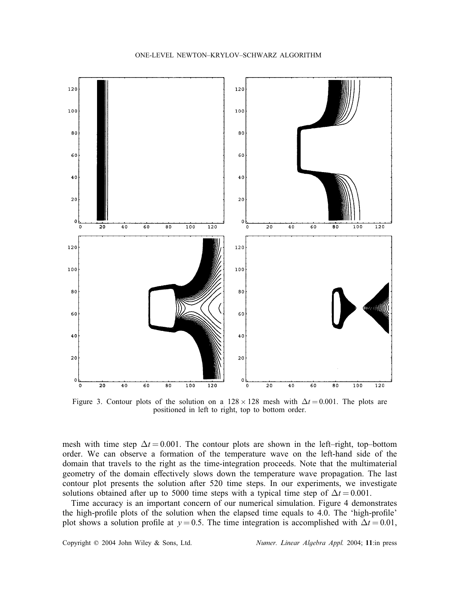

Figure 3. Contour plots of the solution on a  $128 \times 128$  mesh with  $\Delta t = 0.001$ . The plots are positioned in left to right, top to bottom order.

mesh with time step  $\Delta t = 0.001$ . The contour plots are shown in the left–right, top–bottom order. We can observe a formation of the temperature wave on the left-hand side of the domain that travels to the right as the time-integration proceeds. Note that the multimaterial geometry of the domain effectively slows down the temperature wave propagation. The last contour plot presents the solution after 520 time steps. In our experiments, we investigate solutions obtained after up to 5000 time steps with a typical time step of  $\Delta t = 0.001$ .

Time accuracy is an important concern of our numerical simulation. Figure 4 demonstrates the high-profile plots of the solution when the elapsed time equals to 4.0. The 'high-profile' plot shows a solution profile at  $y = 0.5$ . The time integration is accomplished with  $\Delta t = 0.01$ ,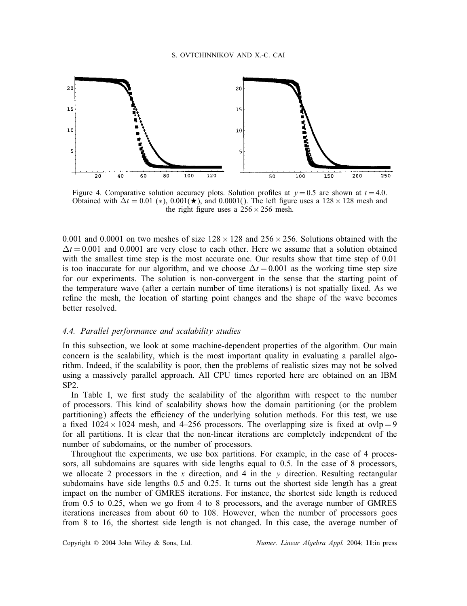

Figure 4. Comparative solution accuracy plots. Solution profiles at  $y = 0.5$  are shown at  $t = 4.0$ . Obtained with  $\Delta t = 0.01$  (\*), 0.001( $\star$ ), and 0.0001(). The left figure uses a 128 × 128 mesh and the right figure uses a  $256 \times 256$  mesh.

0.001 and 0.0001 on two meshes of size  $128 \times 128$  and  $256 \times 256$ . Solutions obtained with the  $\Delta t = 0.001$  and 0.0001 are very close to each other. Here we assume that a solution obtained with the smallest time step is the most accurate one. Our results show that time step of 0.01 is too inaccurate for our algorithm, and we choose  $\Delta t = 0.001$  as the working time step size for our experiments. The solution is non-convergent in the sense that the starting point of the temperature wave (after a certain number of time iterations) is not spatially fixed. As we refine the mesh, the location of starting point changes and the shape of the wave becomes better resolved.

## *4.4. Parallel performance and scalability studies*

In this subsection, we look at some machine-dependent properties of the algorithm. Our main concern is the scalability, which is the most important quality in evaluating a parallel algorithm. Indeed, if the scalability is poor, then the problems of realistic sizes may not be solved using a massively parallel approach. All CPU times reported here are obtained on an IBM SP2.

In Table I, we first study the scalability of the algorithm with respect to the number of processors. This kind of scalability shows how the domain partitioning (or the problem partitioning) affects the efficiency of the underlying solution methods. For this test, we use a fixed  $1024 \times 1024$  mesh, and 4–256 processors. The overlapping size is fixed at ovlp = 9 for all partitions. It is clear that the non-linear iterations are completely independent of the number of subdomains, or the number of processors.

Throughout the experiments, we use box partitions. For example, in the case of 4 processors, all subdomains are squares with side lengths equal to 0.5. In the case of 8 processors, we allocate 2 processors in the x direction, and 4 in the y direction. Resulting rectangular subdomains have side lengths 0.5 and 0.25. It turns out the shortest side length has a great impact on the number of GMRES iterations. For instance, the shortest side length is reduced from 0.5 to 0.25, when we go from 4 to 8 processors, and the average number of GMRES iterations increases from about 60 to 108. However, when the number of processors goes from 8 to 16, the shortest side length is not changed. In this case, the average number of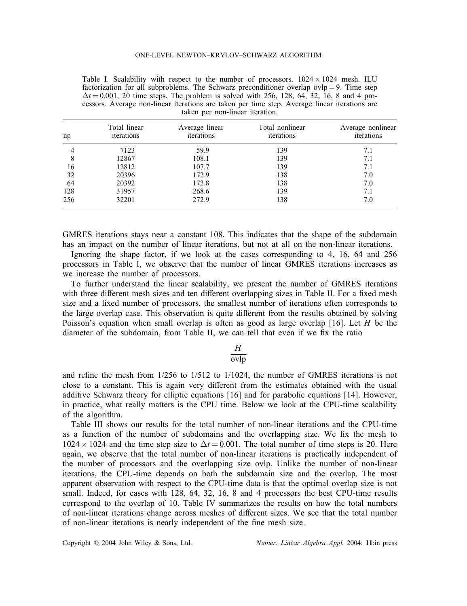Table I. Scalability with respect to the number of processors.  $1024 \times 1024$  mesh. ILU factorization for all subproblems. The Schwarz preconditioner overlap ovlp = 9. Time step  $\Delta t = 0.001$ , 20 time steps. The problem is solved with 256, 128, 64, 32, 16, 8 and 4 processors. Average non-linear iterations are taken per time step. Average linear iterations are taken per non-linear iteration.

| np  | Total linear<br>iterations | Average linear<br>iterations | Total nonlinear<br>iterations | Average nonlinear<br>iterations |
|-----|----------------------------|------------------------------|-------------------------------|---------------------------------|
| 4   | 7123                       | 59.9                         | 139                           | 7.1                             |
| 8   | 12867                      | 108.1                        | 139                           | 7.1                             |
| 16  | 12812                      | 107.7                        | 139                           | 7.1                             |
| 32  | 20396                      | 172.9                        | 138                           | 7.0                             |
| 64  | 20392                      | 172.8                        | 138                           | 7.0                             |
| 128 | 31957                      | 268.6                        | 139                           | 7.1                             |
| 256 | 32201                      | 272.9                        | 138                           | 7.0                             |

GMRES iterations stays near a constant 108. This indicates that the shape of the subdomain has an impact on the number of linear iterations, but not at all on the non-linear iterations.

Ignoring the shape factor, if we look at the cases corresponding to 4, 16, 64 and 256 processors in Table I, we observe that the number of linear GMRES iterations increases as we increase the number of processors.

To further understand the linear scalability, we present the number of GMRES iterations with three different mesh sizes and ten different overlapping sizes in Table II. For a fixed mesh size and a fixed number of processors, the smallest number of iterations often corresponds to the large overlap case. This observation is quite different from the results obtained by solving Poisson's equation when small overlap is often as good as large overlap [16]. Let  $H$  be the diameter of the subdomain, from Table II, we can tell that even if we fix the ratio

# H

## ovlp

and refine the mesh from  $1/256$  to  $1/512$  to  $1/1024$ , the number of GMRES iterations is not close to a constant. This is again very different from the estimates obtained with the usual additive Schwarz theory for elliptic equations [16] and for parabolic equations [14]. However, in practice, what really matters is the CPU time. Below we look at the CPU-time scalability of the algorithm.

Table III shows our results for the total number of non-linear iterations and the CPU-time as a function of the number of subdomains and the overlapping size. We fix the mesh to  $1024 \times 1024$  and the time step size to  $\Delta t = 0.001$ . The total number of time steps is 20. Here again, we observe that the total number of non-linear iterations is practically independent of the number of processors and the overlapping size ovlp. Unlike the number of non-linear iterations, the CPU-time depends on both the subdomain size and the overlap. The most apparent observation with respect to the CPU-time data is that the optimal overlap size is not small. Indeed, for cases with 128, 64, 32, 16, 8 and 4 processors the best CPU-time results correspond to the overlap of 10. Table IV summarizes the results on how the total numbers of non-linear iterations change across meshes of dierent sizes. We see that the total number of non-linear iterations is nearly independent of the fine mesh size.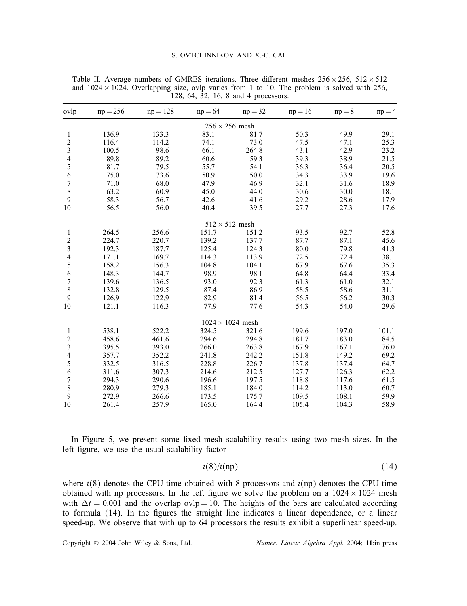#### S. OVTCHINNIKOV AND X.-C. CAI

| ovlp                    | $np = 256$ | $np = 128$ | $np = 64$               | $np = 32$ | $np = 16$ | $np = 8$ | $np = 4$ |
|-------------------------|------------|------------|-------------------------|-----------|-----------|----------|----------|
|                         |            |            | $256 \times 256$ mesh   |           |           |          |          |
| 1                       | 136.9      | 133.3      | 83.1                    | 81.7      | 50.3      | 49.9     | 29.1     |
| 2                       | 116.4      | 114.2      | 74.1                    | 73.0      | 47.5      | 47.1     | 25.3     |
| 3                       | 100.5      | 98.6       | 66.1                    | 264.8     | 43.1      | 42.9     | 23.2     |
| $\overline{\mathbf{4}}$ | 89.8       | 89.2       | 60.6                    | 59.3      | 39.3      | 38.9     | 21.5     |
| 5                       | 81.7       | 79.5       | 55.7                    | 54.1      | 36.3      | 36.4     | 20.5     |
| 6                       | 75.0       | 73.6       | 50.9                    | 50.0      | 34.3      | 33.9     | 19.6     |
| 7                       | 71.0       | 68.0       | 47.9                    | 46.9      | 32.1      | 31.6     | 18.9     |
| 8                       | 63.2       | 60.9       | 45.0                    | 44.0      | 30.6      | 30.0     | 18.1     |
| 9                       | 58.3       | 56.7       | 42.6                    | 41.6      | 29.2      | 28.6     | 17.9     |
| 10                      | 56.5       | 56.0       | 40.4                    | 39.5      | 27.7      | 27.3     | 17.6     |
|                         |            |            | $512 \times 512$ mesh   |           |           |          |          |
| 1                       | 264.5      | 256.6      | 151.7                   | 151.2     | 93.5      | 92.7     | 52.8     |
| 2                       | 224.7      | 220.7      | 139.2                   | 137.7     | 87.7      | 87.1     | 45.6     |
| 3                       | 192.3      | 187.7      | 125.4                   | 124.3     | 80.0      | 79.8     | 41.3     |
| 4                       | 171.1      | 169.7      | 114.3                   | 113.9     | 72.5      | 72.4     | 38.1     |
| 5                       | 158.2      | 156.3      | 104.8                   | 104.1     | 67.9      | 67.6     | 35.3     |
| 6                       | 148.3      | 144.7      | 98.9                    | 98.1      | 64.8      | 64.4     | 33.4     |
| 7                       | 139.6      | 136.5      | 93.0                    | 92.3      | 61.3      | 61.0     | 32.1     |
| 8                       | 132.8      | 129.5      | 87.4                    | 86.9      | 58.5      | 58.6     | 31.1     |
| 9                       | 126.9      | 122.9      | 82.9                    | 81.4      | 56.5      | 56.2     | 30.3     |
| 10                      | 121.1      | 116.3      | 77.9                    | 77.6      | 54.3      | 54.0     | 29.6     |
|                         |            |            | $1024 \times 1024$ mesh |           |           |          |          |
| 1                       | 538.1      | 522.2      | 324.5                   | 321.6     | 199.6     | 197.0    | 101.1    |
| $\overline{c}$          | 458.6      | 461.6      | 294.6                   | 294.8     | 181.7     | 183.0    | 84.5     |
| 3                       | 395.5      | 393.0      | 266.0                   | 263.8     | 167.9     | 167.1    | 76.0     |
| 4                       | 357.7      | 352.2      | 241.8                   | 242.2     | 151.8     | 149.2    | 69.2     |
| 5                       | 332.5      | 316.5      | 228.8                   | 226.7     | 137.8     | 137.4    | 64.7     |
| 6                       | 311.6      | 307.3      | 214.6                   | 212.5     | 127.7     | 126.3    | 62.2     |
| 7                       | 294.3      | 290.6      | 196.6                   | 197.5     | 118.8     | 117.6    | 61.5     |
| 8                       | 280.9      | 279.3      | 185.1                   | 184.0     | 114.2     | 113.0    | 60.7     |
| 9                       | 272.9      | 266.6      | 173.5                   | 175.7     | 109.5     | 108.1    | 59.9     |
| 10                      | 261.4      | 257.9      | 165.0                   | 164.4     | 105.4     | 104.3    | 58.9     |

Table II. Average numbers of GMRES iterations. Three different meshes  $256 \times 256$ ,  $512 \times 512$ and  $1024 \times 1024$ . Overlapping size, ovlp varies from 1 to 10. The problem is solved with 256, 128, 64, 32, 16, 8 and 4 processors.

In Figure 5, we present some fixed mesh scalability results using two mesh sizes. In the left figure, we use the usual scalability factor

$$
t(8)/t(np) \tag{14}
$$

where  $t(8)$  denotes the CPU-time obtained with 8 processors and  $t(np)$  denotes the CPU-time obtained with np processors. In the left figure we solve the problem on a  $1024 \times 1024$  mesh with  $\Delta t = 0.001$  and the overlap ovlp = 10. The heights of the bars are calculated according to formula (14). In the figures the straight line indicates a linear dependence, or a linear speed-up. We observe that with up to 64 processors the results exhibit a superlinear speed-up.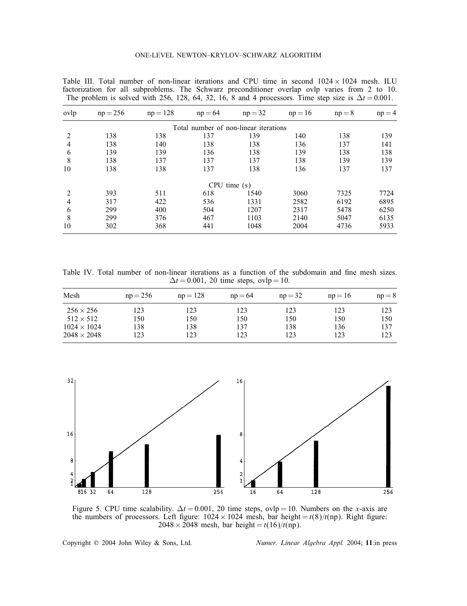| ovlp | $np = 256$ | $np = 128$ | $np = 64$                             | $np = 32$ | $np = 16$ | $np = 8$ | $np = 4$ |
|------|------------|------------|---------------------------------------|-----------|-----------|----------|----------|
|      |            |            | Total number of non-linear iterations |           |           |          |          |
| 2    | 138        | 138        | 137                                   | 139       | 140       | 138      | 139      |
| 4    | 138        | 140        | 138                                   | 138       | 136       | 137      | 141      |
| 6    | 139        | 139        | 136                                   | 138       | 139       | 138      | 138      |
| 8    | 138        | 137        | 137                                   | 137       | 138       | 139      | 139      |
| 10   | 138        | 138        | 137                                   | 138       | 136       | 137      | 137      |
|      |            |            | CPU time(s)                           |           |           |          |          |
| 2    | 393        | 511        | 618                                   | 1540      | 3060      | 7325     | 7724     |
| 4    | 317        | 422        | 536                                   | 1331      | 2582      | 6192     | 6895     |
| 6    | 299        | 400        | 504                                   | 1207      | 2317      | 5478     | 6250     |
| 8    | 299        | 376        | 467                                   | 1103      | 2140      | 5047     | 6135     |
| 10   | 302        | 368        | 441                                   | 1048      | 2004      | 4736     | 5933     |

Table III. Total number of non-linear iterations and CPU time in second  $1024 \times 1024$  mesh. ILU factorization for all subproblems. The Schwarz preconditioner overlap ovlp varies from 2 to 10. The problem is solved with 256, 128, 64, 32, 16, 8 and 4 processors. Time step size is  $\Delta t = 0.001$ .

Table IV. Total number of non-linear iterations as a function of the subdomain and fine mesh sizes.  $\Delta t = 0.001$ , 20 time steps, ovlp = 10.

| Mesh               | $np = 256$ | $np = 128$ | $np = 64$ | $np = 32$ | $np = 16$ | $np = 8$ |
|--------------------|------------|------------|-----------|-----------|-----------|----------|
| $256 \times 256$   | 123        | 123        | 123       | 123       | 123       | 123      |
| $512 \times 512$   | l 50       | 150        | 150       | 150       | 150       | 150      |
| $1024 \times 1024$ | 138        | 138        | 137       | 138       | 136       | 137      |
| $2048 \times 2048$ | 123        | 123        | 123       | 123       | 123       | 123      |



Figure 5. CPU time scalability.  $\Delta t = 0.001$ , 20 time steps, ovlp = 10. Numbers on the x-axis are the numbers of processors. Left figure:  $1024 \times 1024$  mesh, bar height =  $t(8)/t(np)$ . Right figure:  $2048 \times 2048$  mesh, bar height = t(16)/t(np).

Copyright ? 2004 John Wiley & Sons, Ltd. *Numer. Linear Algebra Appl.* 2004; 11:in press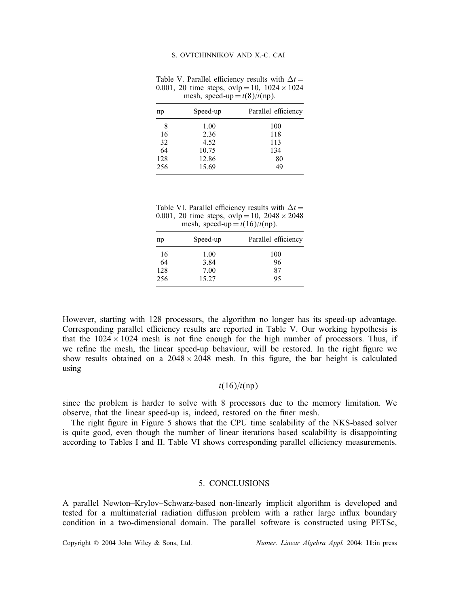Table V. Parallel efficiency results with  $\Delta t =$ 0.001, 20 time steps,  $ovlp = 10$ ,  $1024 \times 1024$ mesh, speed-up =  $t(8)/t(np)$ .

| Speed-up | Parallel efficiency |
|----------|---------------------|
| 1.00     | 100                 |
| 2.36     | 118                 |
| 4.52     | 113                 |
| 10.75    | 134                 |
| 12.86    | 80                  |
| 15.69    | 49                  |
|          |                     |

Table VI. Parallel efficiency results with  $\Delta t =$ 0.001, 20 time steps,  $ovlp = 10$ ,  $2048 \times 2048$ mesh, speed-up  $= t(16)/t(np)$ .

| np  | Speed-up | Parallel efficiency |
|-----|----------|---------------------|
| 16  | 1.00     | 100                 |
| 64  | 3.84     | 96                  |
| 128 | 7.00     | 87                  |
| 256 | 15.27    | 95                  |

However, starting with 128 processors, the algorithm no longer has its speed-up advantage. Corresponding parallel efficiency results are reported in Table V. Our working hypothesis is that the  $1024 \times 1024$  mesh is not fine enough for the high number of processors. Thus, if we refine the mesh, the linear speed-up behaviour, will be restored. In the right figure we show results obtained on a  $2048 \times 2048$  mesh. In this figure, the bar height is calculated using

## $t(16)/t(np)$

since the problem is harder to solve with 8 processors due to the memory limitation. We observe, that the linear speed-up is, indeed, restored on the finer mesh.

The right figure in Figure 5 shows that the CPU time scalability of the NKS-based solver is quite good, even though the number of linear iterations based scalability is disappointing according to Tables I and II. Table VI shows corresponding parallel efficiency measurements.

## 5. CONCLUSIONS

A parallel Newton–Krylov–Schwarz-based non-linearly implicit algorithm is developed and tested for a multimaterial radiation diffusion problem with a rather large influx boundary condition in a two-dimensional domain. The parallel software is constructed using PETSc,